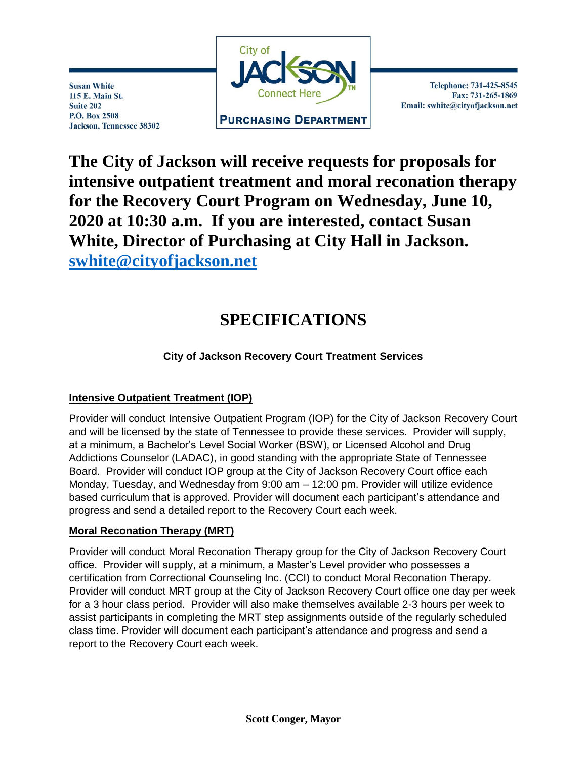

**Susan White** 115 E. Main St. Suite 202 P.O. Box 2508 Jackson, Tennessee 38302

Telephone: 731-425-8545 Fax: 731-265-1869 Email: swhite@cityofjackson.net

## **The City of Jackson will receive requests for proposals for intensive outpatient treatment and moral reconation therapy for the Recovery Court Program on Wednesday, June 10, 2020 at 10:30 a.m. If you are interested, contact Susan White, Director of Purchasing at City Hall in Jackson. [swhite@cityofjackson.net](mailto:swhite@cityofjackson.net)**

# **SPECIFICATIONS**

## **City of Jackson Recovery Court Treatment Services**

## **Intensive Outpatient Treatment (IOP)**

Provider will conduct Intensive Outpatient Program (IOP) for the City of Jackson Recovery Court and will be licensed by the state of Tennessee to provide these services. Provider will supply, at a minimum, a Bachelor's Level Social Worker (BSW), or Licensed Alcohol and Drug Addictions Counselor (LADAC), in good standing with the appropriate State of Tennessee Board. Provider will conduct IOP group at the City of Jackson Recovery Court office each Monday, Tuesday, and Wednesday from 9:00 am – 12:00 pm. Provider will utilize evidence based curriculum that is approved. Provider will document each participant's attendance and progress and send a detailed report to the Recovery Court each week.

### **Moral Reconation Therapy (MRT)**

Provider will conduct Moral Reconation Therapy group for the City of Jackson Recovery Court office. Provider will supply, at a minimum, a Master's Level provider who possesses a certification from Correctional Counseling Inc. (CCI) to conduct Moral Reconation Therapy. Provider will conduct MRT group at the City of Jackson Recovery Court office one day per week for a 3 hour class period. Provider will also make themselves available 2-3 hours per week to assist participants in completing the MRT step assignments outside of the regularly scheduled class time. Provider will document each participant's attendance and progress and send a report to the Recovery Court each week.